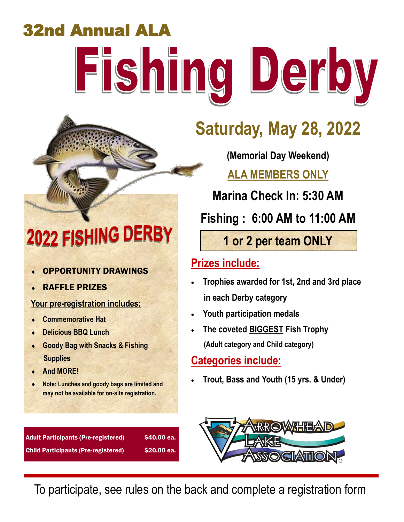# 32nd Annual ALA Fishing Derby

# 2022 FISHING DERBY

- OPPORTUNITY DRAWINGS
- RAFFLE PRIZES

#### **Your pre-registration includes:**

- **Commemorative Hat**
- **Delicious BBQ Lunch**
- **Goody Bag with Snacks & Fishing Supplies**
- **And MORE!**
- **Note: Lunches and goody bags are limited and may not be available for on-site registration.**

Adult Participants (Pre-registered) \$40.00 ea. Child Participants (Pre-registered) \$20.00 ea.

# **Saturday, May 28, 2022**

### **(Memorial Day Weekend)**

**ALA MEMBERS ONLY**

**Marina Check In: 5:30 AM** 

**Fishing : 6:00 AM to 11:00 AM**

**1 or 2 per team ONLY**

### **Prizes include:**

- **Trophies awarded for 1st, 2nd and 3rd place in each Derby category**
- **Youth participation medals**
- **The coveted BIGGEST Fish Trophy (Adult category and Child category)**

#### **Categories include:**

**Trout, Bass and Youth (15 yrs. & Under)**



To participate, see rules on the back and complete a registration form